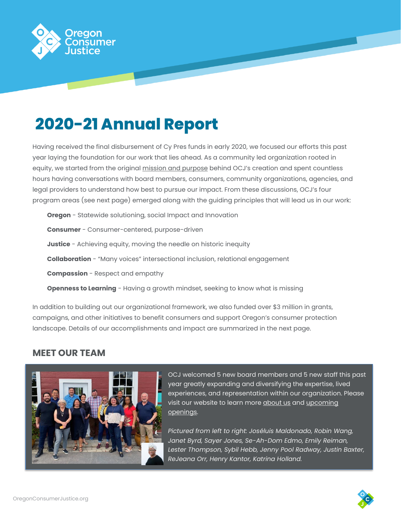

# **2020-21 Annual Report**

Having received the final disbursement of Cy Pres funds in early 2020, we focused our efforts this past year laying the foundation for our work that lies ahead. As a community led organization rooted in equity, we started from the original [mission and purpose](http://oregonconsumerjustice.org/wp-content/uploads/2021/08/2016-04-16-CYPRES-Court-Order.pdf) behind OCJ's creation and spent countless hours having conversations with board members, consumers, community organizations, agencies, and legal providers to understand how best to pursue our impact. From these discussions, OCJ's four program areas (see next page) emerged along with the guiding principles that will lead us in our work:

**Oregon** - Statewide solutioning, social Impact and Innovation **Consumer** - Consumer-centered, purpose-driven **Justice** - Achieving equity, moving the needle on historic inequity **Collaboration** - "Many voices" intersectional inclusion, relational engagement **Compassion** - Respect and empathy **Openness to Learning** - Having a growth mindset, seeking to know what is missing

In addition to building out our organizational framework, we also funded over \$3 million in grants, campaigns, and other initiatives to benefit consumers and support Oregon's consumer protection landscape. Details of our accomplishments and impact are summarized in the next page.

# **MEET OUR TEAM**



OCJ welcomed 5 new board members and 5 new staff this past year greatly expanding and diversifying the expertise, lived experiences, and representation within our organization. Please visit our website to learn mor[e about us](https://oregonconsumerjustice.org/about/) and [upcoming](https://oregonconsumerjustice.org/about/work-at-ocj/) [openings.](https://oregonconsumerjustice.org/about/work-at-ocj/)

*Pictured from left to right: Joséluis Maldonado, Robin Wang, Janet Byrd, Sayer Jones, Se-Ah-Dom Edmo, Emily Reiman, Lester Thompson, Sybil Hebb, Jenny Pool Radway, Justin Baxter, ReJeana Orr, Henry Kantor, Katrina Holland.*

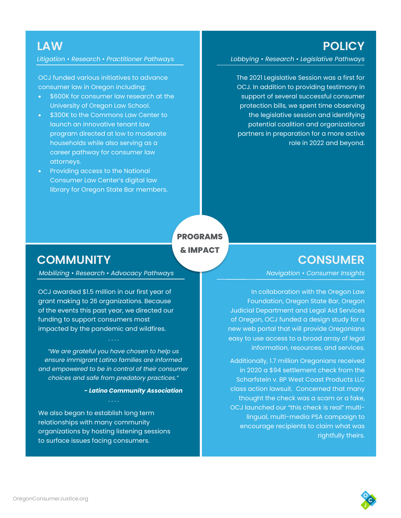**POLICY**

**LAW**

*Litigation • Research • Practitioner Pathways*

OCJ funded various initiatives to advance consumer law in Oregon including:

- \$600K for consumer law research at the University of Oregon Law School.
- \$300K to the Commons Law Center to launch an innovative tenant law program directed at low to moderate households while also serving as a career pathway for consumer law attorneys.
- Providing access to the National Consumer Law Center's digital law library for Oregon State Bar members.

*Lobbying • Research • Legislative Pathways*

The 2021 Legislative Session was a first for OCJ. In addition to providing testimony in support of several successful consumer protection bills, we spent time observing the legislative session and identifying potential coalition and organizational partners in preparation for a more active role in 2022 and beyond.

**PROGRAMS & IMPACT**

# **COMMUNITY**

*Mobilizing • Research • Advocacy Pathways*

OCJ awarded \$1.5 million in our first year of grant making to 26 organizations. Because of the events this past year, we directed our funding to support consumers most impacted by the pandemic and wildfires.

*"We are grateful you have chosen to help us ensure immigrant Latino families are informed and empowered to be in control of their consumer choices and safe from predatory practices."*

*- Latino Community Association*

#### . . . .

We also began to establish long term relationships with many community organizations by hosting listening sessions to surface issues facing consumers.

## **CONSUMER**

*Navigation • Consumer Insights*

In collaboration with the Oregon Law Foundation, Oregon State Bar, Oregon Judicial Department and Legal Aid Services of Oregon, OCJ funded a design study for a new web portal that will provide Oregonians easy to use access to a broad array of legal information, resources, and services.

Additionally, 1.7 million Oregonians received in 2020 a \$94 settlement check from the Scharfstein v. BP West Coast Products LLC class action lawsuit. Concerned that many thought the check was a scam or a fake, OCJ launched our "this check is real" multilingual, multi-media PSA campaign to encourage recipients to claim what was rightfully theirs.